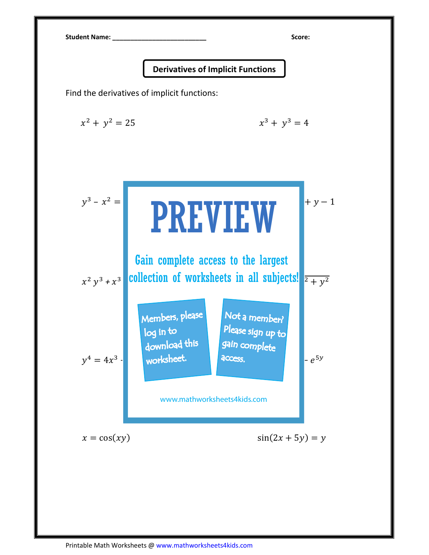